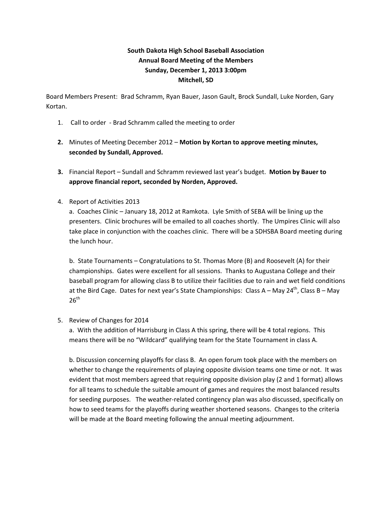## **South Dakota High School Baseball Association Annual Board Meeting of the Members Sunday, December 1, 2013 3:00pm Mitchell, SD**

Board Members Present: Brad Schramm, Ryan Bauer, Jason Gault, Brock Sundall, Luke Norden, Gary Kortan.

- 1. Call to order Brad Schramm called the meeting to order
- **2.** Minutes of Meeting December 2012 **Motion by Kortan to approve meeting minutes, seconded by Sundall, Approved.**
- **3.** Financial Report Sundall and Schramm reviewed last year's budget. **Motion by Bauer to approve financial report, seconded by Norden, Approved.**
- 4. Report of Activities 2013

a. Coaches Clinic – January 18, 2012 at Ramkota. Lyle Smith of SEBA will be lining up the presenters. Clinic brochures will be emailed to all coaches shortly. The Umpires Clinic will also take place in conjunction with the coaches clinic. There will be a SDHSBA Board meeting during the lunch hour.

b. State Tournaments – Congratulations to St. Thomas More (B) and Roosevelt (A) for their championships. Gates were excellent for all sessions. Thanks to Augustana College and their baseball program for allowing class B to utilize their facilities due to rain and wet field conditions at the Bird Cage. Dates for next year's State Championships: Class A – May 24<sup>th</sup>, Class B – May  $26<sup>th</sup>$ 

5. Review of Changes for 2014

a. With the addition of Harrisburg in Class A this spring, there will be 4 total regions. This means there will be no "Wildcard" qualifying team for the State Tournament in class A.

b. Discussion concerning playoffs for class B. An open forum took place with the members on whether to change the requirements of playing opposite division teams one time or not. It was evident that most members agreed that requiring opposite division play (2 and 1 format) allows for all teams to schedule the suitable amount of games and requires the most balanced results for seeding purposes. The weather-related contingency plan was also discussed, specifically on how to seed teams for the playoffs during weather shortened seasons. Changes to the criteria will be made at the Board meeting following the annual meeting adjournment.